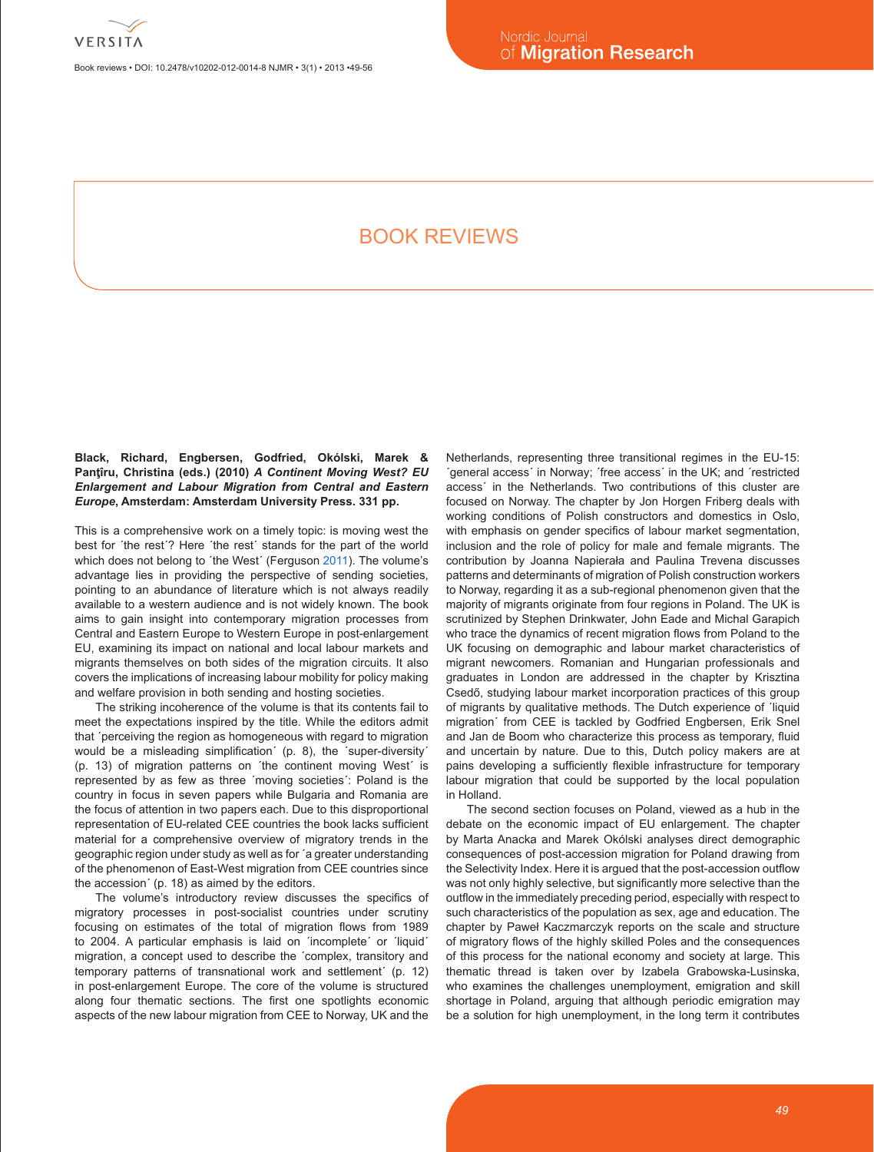

Book reviews • DOI: 10.2478/v10202-012-0014-8 NJMR • 3(1) • 2013 •49-56

# Book reviews

**Black, Richard, Engbersen, Godfried, Okólski, Marek & Panţîru, Christina (eds.) (2010)** *A Continent Moving West? EU Enlargement and Labour Migration from Central and Eastern Europe***, Amsterdam: Amsterdam University Press. 331 pp.**

This is a comprehensive work on a timely topic: is moving west the best for ´the rest´? Here ´the rest´ stands for the part of the world which does not belong to ´the West´ (Ferguson 2011). The volume's advantage lies in providing the perspective of sending societies, pointing to an abundance of literature which is not always readily available to a western audience and is not widely known. The book aims to gain insight into contemporary migration processes from Central and Eastern Europe to Western Europe in post-enlargement EU, examining its impact on national and local labour markets and migrants themselves on both sides of the migration circuits. It also covers the implications of increasing labour mobility for policy making and welfare provision in both sending and hosting societies.

The striking incoherence of the volume is that its contents fail to meet the expectations inspired by the title. While the editors admit that ´perceiving the region as homogeneous with regard to migration would be a misleading simplification´ (p. 8), the ´super-diversity´ (p. 13) of migration patterns on ´the continent moving West´ is represented by as few as three ´moving societies´: Poland is the country in focus in seven papers while Bulgaria and Romania are the focus of attention in two papers each. Due to this disproportional representation of EU-related CEE countries the book lacks sufficient material for a comprehensive overview of migratory trends in the geographic region under study as well as for ´a greater understanding of the phenomenon of East-West migration from CEE countries since the accession´ (p. 18) as aimed by the editors.

The volume's introductory review discusses the specifics of migratory processes in post-socialist countries under scrutiny focusing on estimates of the total of migration flows from 1989 to 2004. A particular emphasis is laid on ´incomplete´ or ´liquid´ migration, a concept used to describe the ´complex, transitory and temporary patterns of transnational work and settlement´ (p. 12) in post-enlargement Europe. The core of the volume is structured along four thematic sections. The first one spotlights economic aspects of the new labour migration from CEE to Norway, UK and the Netherlands, representing three transitional regimes in the EU-15: ´general access´ in Norway; ´free access´ in the UK; and ´restricted access´ in the Netherlands. Two contributions of this cluster are focused on Norway. The chapter by Jon Horgen Friberg deals with working conditions of Polish constructors and domestics in Oslo, with emphasis on gender specifics of labour market segmentation, inclusion and the role of policy for male and female migrants. The contribution by Joanna Napierała and Paulina Trevena discusses patterns and determinants of migration of Polish construction workers to Norway, regarding it as a sub-regional phenomenon given that the majority of migrants originate from four regions in Poland. The UK is scrutinized by Stephen Drinkwater, John Eade and Michal Garapich who trace the dynamics of recent migration flows from Poland to the UK focusing on demographic and labour market characteristics of migrant newcomers. Romanian and Hungarian professionals and graduates in London are addressed in the chapter by Krisztina Csedő, studying labour market incorporation practices of this group of migrants by qualitative methods. The Dutch experience of ´liquid migration´ from CEE is tackled by Godfried Engbersen, Erik Snel and Jan de Boom who characterize this process as temporary, fluid and uncertain by nature. Due to this, Dutch policy makers are at pains developing a sufficiently flexible infrastructure for temporary labour migration that could be supported by the local population in Holland.

The second section focuses on Poland, viewed as a hub in the debate on the economic impact of EU enlargement. The chapter by Marta Anacka and Marek Okólski analyses direct demographic consequences of post-accession migration for Poland drawing from the Selectivity Index. Here it is argued that the post-accession outflow was not only highly selective, but significantly more selective than the outflow in the immediately preceding period, especially with respect to such characteristics of the population as sex, age and education. The chapter by Paweł Kaczmarczyk reports on the scale and structure of migratory flows of the highly skilled Poles and the consequences of this process for the national economy and society at large. This thematic thread is taken over by Izabela Grabowska-Lusinska, who examines the challenges unemployment, emigration and skill shortage in Poland, arguing that although periodic emigration may be a solution for high unemployment, in the long term it contributes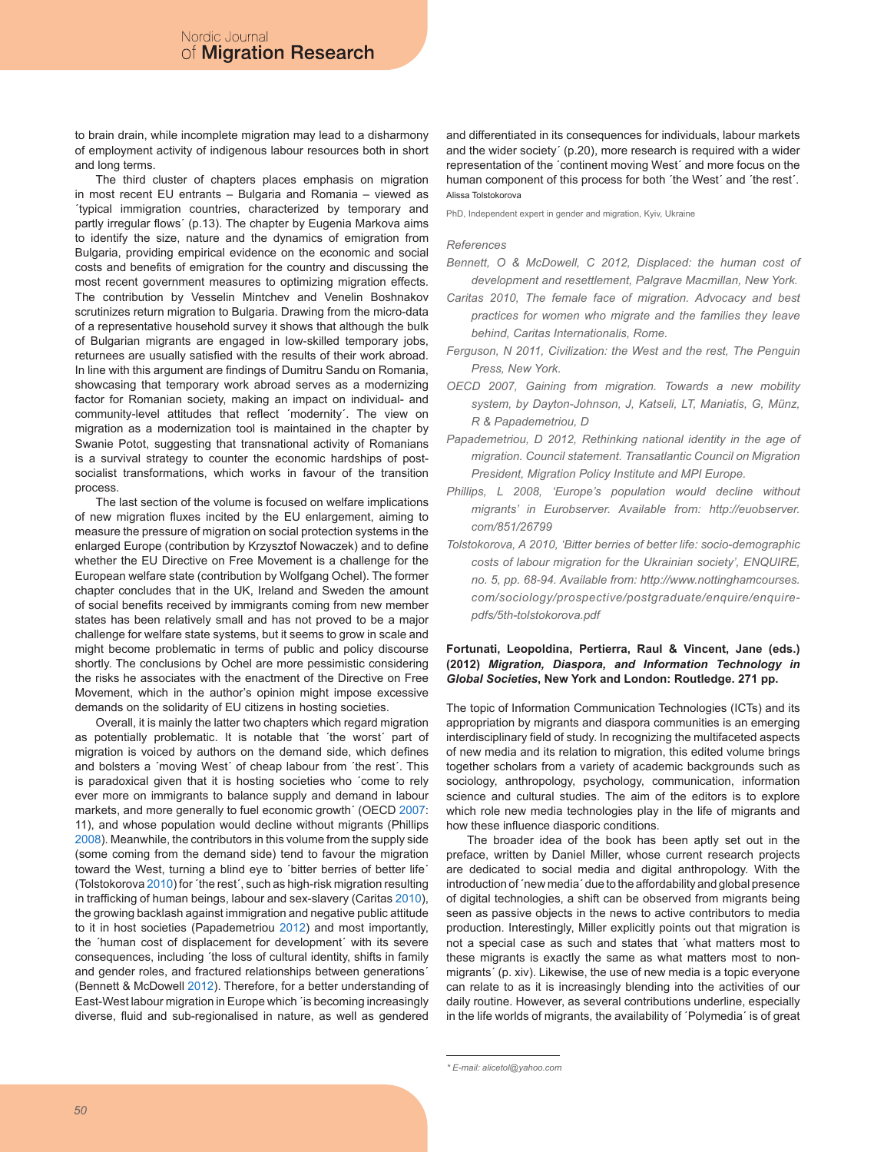to brain drain, while incomplete migration may lead to a disharmony of employment activity of indigenous labour resources both in short and long terms.

The third cluster of chapters places emphasis on migration in most recent EU entrants – Bulgaria and Romania – viewed as ´typical immigration countries, characterized by temporary and partly irregular flows' (p.13). The chapter by Eugenia Markova aims to identify the size, nature and the dynamics of emigration from Bulgaria, providing empirical evidence on the economic and social costs and benefits of emigration for the country and discussing the most recent government measures to optimizing migration effects. The contribution by Vesselin Mintchev and Venelin Boshnakov scrutinizes return migration to Bulgaria. Drawing from the micro-data of a representative household survey it shows that although the bulk of Bulgarian migrants are engaged in low-skilled temporary jobs, returnees are usually satisfied with the results of their work abroad. In line with this argument are findings of Dumitru Sandu on Romania, showcasing that temporary work abroad serves as a modernizing factor for Romanian society, making an impact on individual- and community-level attitudes that reflect ´modernity´. The view on migration as a modernization tool is maintained in the chapter by Swanie Potot, suggesting that transnational activity of Romanians is a survival strategy to counter the economic hardships of postsocialist transformations, which works in favour of the transition process.

The last section of the volume is focused on welfare implications of new migration fluxes incited by the EU enlargement, aiming to measure the pressure of migration on social protection systems in the enlarged Europe (contribution by Krzysztof Nowaczek) and to define whether the EU Directive on Free Movement is a challenge for the European welfare state (contribution by Wolfgang Ochel). The former chapter concludes that in the UK, Ireland and Sweden the amount of social benefits received by immigrants coming from new member states has been relatively small and has not proved to be a major challenge for welfare state systems, but it seems to grow in scale and might become problematic in terms of public and policy discourse shortly. The conclusions by Ochel are more pessimistic considering the risks he associates with the enactment of the Directive on Free Movement, which in the author's opinion might impose excessive demands on the solidarity of EU citizens in hosting societies.

Overall, it is mainly the latter two chapters which regard migration as potentially problematic. It is notable that ´the worst´ part of migration is voiced by authors on the demand side, which defines and bolsters a ´moving West´ of cheap labour from ´the rest´. This is paradoxical given that it is hosting societies who ´come to rely ever more on immigrants to balance supply and demand in labour markets, and more generally to fuel economic growth´ (OECD 2007: 11), and whose population would decline without migrants (Phillips 2008). Meanwhile, the contributors in this volume from the supply side (some coming from the demand side) tend to favour the migration toward the West, turning a blind eye to ´bitter berries of better life´ (Tolstokorova 2010) for ´the rest´, such as high-risk migration resulting in trafficking of human beings, labour and sex-slavery (Caritas 2010), the growing backlash against immigration and negative public attitude to it in host societies (Papademetriou 2012) and most importantly, the ´human cost of displacement for development´ with its severe consequences, including ´the loss of cultural identity, shifts in family and gender roles, and fractured relationships between generations´ (Bennett & McDowell 2012). Therefore, for a better understanding of East-West labour migration in Europe which ´is becoming increasingly diverse, fluid and sub-regionalised in nature, as well as gendered

and differentiated in its consequences for individuals, labour markets and the wider society´ (p.20), more research is required with a wider representation of the ´continent moving West´ and more focus on the human component of this process for both ´the West´ and ´the rest´. Alissa Tolstokorova

PhD, Independent expert in gender and migration, Kyiv, Ukraine

## *References*

- *Bennett, O & McDowell, C 2012, Displaced: the human cost of development and resettlement, Palgrave Macmillan, New York.*
- *Caritas 2010, The female face of migration. Advocacy and best practices for women who migrate and the families they leave behind, Caritas Internationalis, Rome.*
- *Ferguson, N 2011, Civilization: the West and the rest, The Penguin Press, New York.*
- *OECD 2007, Gaining from migration. Towards a new mobility system, by Dayton-Johnson, J, Katseli, LT, Maniatis, G, Münz, R & Papademetriou, D*
- *Papademetriou, D 2012, Rethinking national identity in the age of migration. Council statement. Transatlantic Council on Migration President, Migration Policy Institute and MPI Europe.*
- *Phillips, L 2008, 'Europe's population would decline without migrants' in Eurobserver. Available from: http://euobserver. com/851/26799*
- *Tolstokorova, A 2010, 'Bitter berries of better life: socio-demographic costs of labour migration for the Ukrainian society', ENQUIRE, no. 5, pp. 68-94. Available from: http://www.nottinghamcourses. com/sociology/prospective/postgraduate/enquire/enquirepdfs/5th-tolstokorova.pdf*

## **Fortunati, Leopoldina, Pertierra, Raul & Vincent, Jane (eds.) (2012)** *Migration, Diaspora, and Information Technology in Global Societies***, New York and London: Routledge. 271 pp.**

The topic of Information Communication Technologies (ICTs) and its appropriation by migrants and diaspora communities is an emerging interdisciplinary field of study. In recognizing the multifaceted aspects of new media and its relation to migration, this edited volume brings together scholars from a variety of academic backgrounds such as sociology, anthropology, psychology, communication, information science and cultural studies. The aim of the editors is to explore which role new media technologies play in the life of migrants and how these influence diasporic conditions.

The broader idea of the book has been aptly set out in the preface, written by Daniel Miller, whose current research projects are dedicated to social media and digital anthropology. With the introduction of ´new media´ due to the affordability and global presence of digital technologies, a shift can be observed from migrants being seen as passive objects in the news to active contributors to media production. Interestingly, Miller explicitly points out that migration is not a special case as such and states that ´what matters most to these migrants is exactly the same as what matters most to nonmigrants´ (p. xiv). Likewise, the use of new media is a topic everyone can relate to as it is increasingly blending into the activities of our daily routine. However, as several contributions underline, especially in the life worlds of migrants, the availability of ´Polymedia´ is of great

*<sup>\*</sup> E-mail: alicetol@yahoo.com*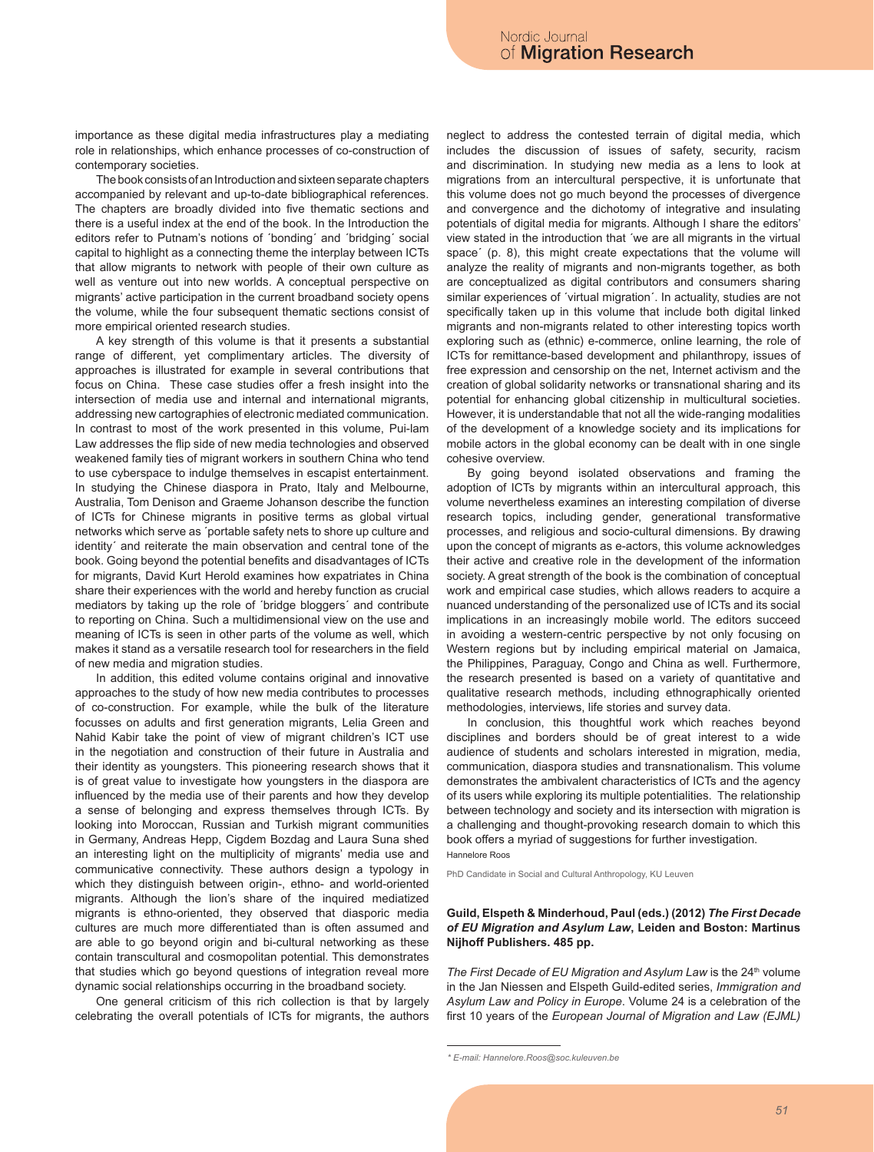importance as these digital media infrastructures play a mediating role in relationships, which enhance processes of co-construction of contemporary societies.

The book consists of an Introduction and sixteen separate chapters accompanied by relevant and up-to-date bibliographical references. The chapters are broadly divided into five thematic sections and there is a useful index at the end of the book. In the Introduction the editors refer to Putnam's notions of ´bonding´ and ´bridging´ social capital to highlight as a connecting theme the interplay between ICTs that allow migrants to network with people of their own culture as well as venture out into new worlds. A conceptual perspective on migrants' active participation in the current broadband society opens the volume, while the four subsequent thematic sections consist of more empirical oriented research studies.

A key strength of this volume is that it presents a substantial range of different, yet complimentary articles. The diversity of approaches is illustrated for example in several contributions that focus on China. These case studies offer a fresh insight into the intersection of media use and internal and international migrants, addressing new cartographies of electronic mediated communication. In contrast to most of the work presented in this volume, Pui-lam Law addresses the flip side of new media technologies and observed weakened family ties of migrant workers in southern China who tend to use cyberspace to indulge themselves in escapist entertainment. In studying the Chinese diaspora in Prato, Italy and Melbourne, Australia, Tom Denison and Graeme Johanson describe the function of ICTs for Chinese migrants in positive terms as global virtual networks which serve as ´portable safety nets to shore up culture and identity´ and reiterate the main observation and central tone of the book. Going beyond the potential benefits and disadvantages of ICTs for migrants, David Kurt Herold examines how expatriates in China share their experiences with the world and hereby function as crucial mediators by taking up the role of ´bridge bloggers´ and contribute to reporting on China. Such a multidimensional view on the use and meaning of ICTs is seen in other parts of the volume as well, which makes it stand as a versatile research tool for researchers in the field of new media and migration studies.

In addition, this edited volume contains original and innovative approaches to the study of how new media contributes to processes of co-construction. For example, while the bulk of the literature focusses on adults and first generation migrants, Lelia Green and Nahid Kabir take the point of view of migrant children's ICT use in the negotiation and construction of their future in Australia and their identity as youngsters. This pioneering research shows that it is of great value to investigate how youngsters in the diaspora are influenced by the media use of their parents and how they develop a sense of belonging and express themselves through ICTs. By looking into Moroccan, Russian and Turkish migrant communities in Germany, Andreas Hepp, Cigdem Bozdag and Laura Suna shed an interesting light on the multiplicity of migrants' media use and communicative connectivity. These authors design a typology in which they distinguish between origin-, ethno- and world-oriented migrants. Although the lion's share of the inquired mediatized migrants is ethno-oriented, they observed that diasporic media cultures are much more differentiated than is often assumed and are able to go beyond origin and bi-cultural networking as these contain transcultural and cosmopolitan potential. This demonstrates that studies which go beyond questions of integration reveal more dynamic social relationships occurring in the broadband society.

One general criticism of this rich collection is that by largely celebrating the overall potentials of ICTs for migrants, the authors neglect to address the contested terrain of digital media, which includes the discussion of issues of safety, security, racism and discrimination. In studying new media as a lens to look at migrations from an intercultural perspective, it is unfortunate that this volume does not go much beyond the processes of divergence and convergence and the dichotomy of integrative and insulating potentials of digital media for migrants. Although I share the editors' view stated in the introduction that ´we are all migrants in the virtual space´ (p. 8), this might create expectations that the volume will analyze the reality of migrants and non-migrants together, as both are conceptualized as digital contributors and consumers sharing similar experiences of ´virtual migration´. In actuality, studies are not specifically taken up in this volume that include both digital linked migrants and non-migrants related to other interesting topics worth exploring such as (ethnic) e-commerce, online learning, the role of ICTs for remittance-based development and philanthropy, issues of free expression and censorship on the net, Internet activism and the creation of global solidarity networks or transnational sharing and its potential for enhancing global citizenship in multicultural societies. However, it is understandable that not all the wide-ranging modalities of the development of a knowledge society and its implications for mobile actors in the global economy can be dealt with in one single cohesive overview.

By going beyond isolated observations and framing the adoption of ICTs by migrants within an intercultural approach, this volume nevertheless examines an interesting compilation of diverse research topics, including gender, generational transformative processes, and religious and socio-cultural dimensions. By drawing upon the concept of migrants as e-actors, this volume acknowledges their active and creative role in the development of the information society. A great strength of the book is the combination of conceptual work and empirical case studies, which allows readers to acquire a nuanced understanding of the personalized use of ICTs and its social implications in an increasingly mobile world. The editors succeed in avoiding a western-centric perspective by not only focusing on Western regions but by including empirical material on Jamaica, the Philippines, Paraguay, Congo and China as well. Furthermore, the research presented is based on a variety of quantitative and qualitative research methods, including ethnographically oriented methodologies, interviews, life stories and survey data.

In conclusion, this thoughtful work which reaches beyond disciplines and borders should be of great interest to a wide audience of students and scholars interested in migration, media, communication, diaspora studies and transnationalism. This volume demonstrates the ambivalent characteristics of ICTs and the agency of its users while exploring its multiple potentialities. The relationship between technology and society and its intersection with migration is a challenging and thought-provoking research domain to which this book offers a myriad of suggestions for further investigation. Hannelore Roos

PhD Candidate in Social and Cultural Anthropology, KU Leuven

# **Guild, Elspeth & Minderhoud, Paul (eds.) (2012)** *The First Decade of EU Migration and Asylum Law***, Leiden and Boston: Martinus Nijhoff Publishers. 485 pp.**

The First Decade of EU Migration and Asylum Law is the 24<sup>th</sup> volume in the Jan Niessen and Elspeth Guild-edited series, *Immigration and Asylum Law and Policy in Europe*. Volume 24 is a celebration of the first 10 years of the *European Journal of Migration and Law (EJML)*

*<sup>\*</sup> E-mail: Hannelore.Roos@soc.kuleuven.be*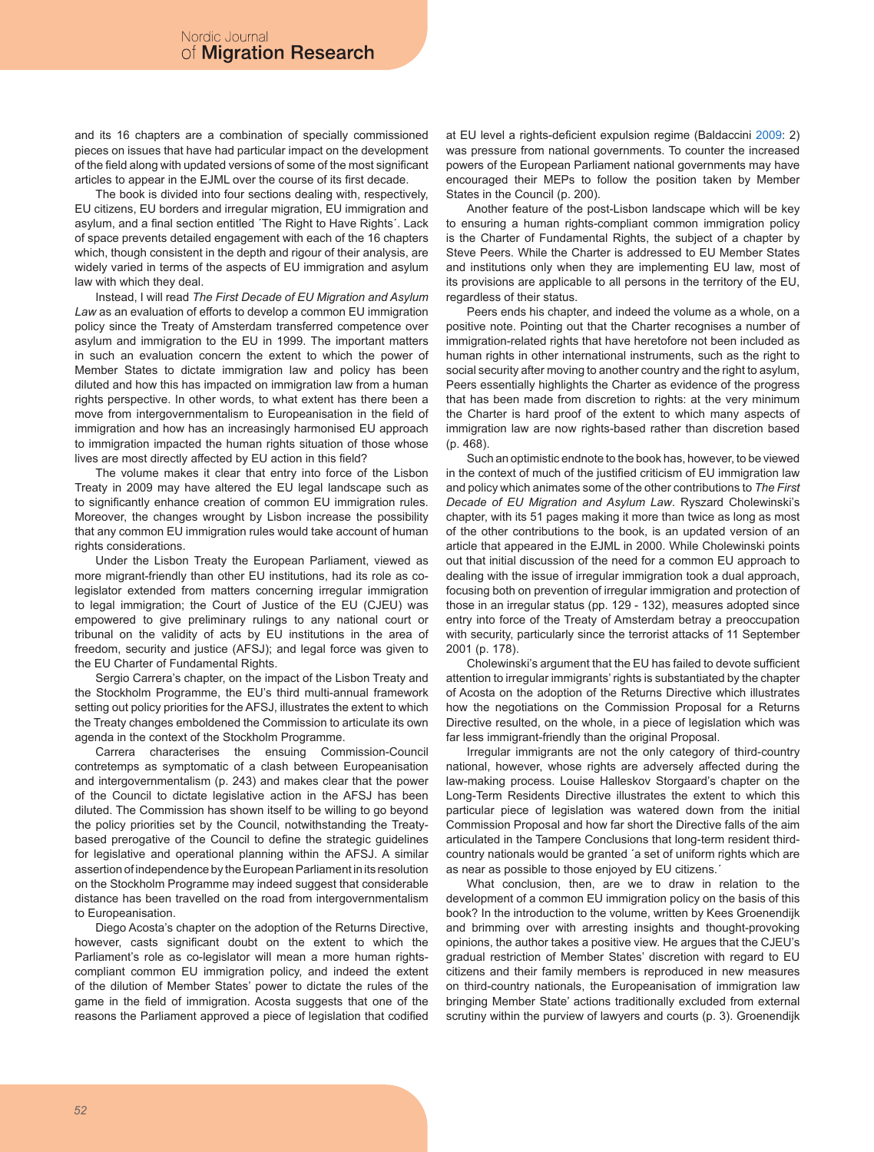and its 16 chapters are a combination of specially commissioned pieces on issues that have had particular impact on the development of the field along with updated versions of some of the most significant articles to appear in the EJML over the course of its first decade.

The book is divided into four sections dealing with, respectively, EU citizens, EU borders and irregular migration, EU immigration and asylum, and a final section entitled ´The Right to Have Rights´. Lack of space prevents detailed engagement with each of the 16 chapters which, though consistent in the depth and rigour of their analysis, are widely varied in terms of the aspects of EU immigration and asylum law with which they deal.

Instead, I will read *The First Decade of EU Migration and Asylum Law* as an evaluation of efforts to develop a common EU immigration policy since the Treaty of Amsterdam transferred competence over asylum and immigration to the EU in 1999. The important matters in such an evaluation concern the extent to which the power of Member States to dictate immigration law and policy has been diluted and how this has impacted on immigration law from a human rights perspective. In other words, to what extent has there been a move from intergovernmentalism to Europeanisation in the field of immigration and how has an increasingly harmonised EU approach to immigration impacted the human rights situation of those whose lives are most directly affected by EU action in this field?

The volume makes it clear that entry into force of the Lisbon Treaty in 2009 may have altered the EU legal landscape such as to significantly enhance creation of common EU immigration rules. Moreover, the changes wrought by Lisbon increase the possibility that any common EU immigration rules would take account of human rights considerations.

Under the Lisbon Treaty the European Parliament, viewed as more migrant-friendly than other EU institutions, had its role as colegislator extended from matters concerning irregular immigration to legal immigration; the Court of Justice of the EU (CJEU) was empowered to give preliminary rulings to any national court or tribunal on the validity of acts by EU institutions in the area of freedom, security and justice (AFSJ); and legal force was given to the EU Charter of Fundamental Rights.

Sergio Carrera's chapter, on the impact of the Lisbon Treaty and the Stockholm Programme, the EU's third multi-annual framework setting out policy priorities for the AFSJ, illustrates the extent to which the Treaty changes emboldened the Commission to articulate its own agenda in the context of the Stockholm Programme.

Carrera characterises the ensuing Commission-Council contretemps as symptomatic of a clash between Europeanisation and intergovernmentalism (p. 243) and makes clear that the power of the Council to dictate legislative action in the AFSJ has been diluted. The Commission has shown itself to be willing to go beyond the policy priorities set by the Council, notwithstanding the Treatybased prerogative of the Council to define the strategic guidelines for legislative and operational planning within the AFSJ. A similar assertion of independence by the European Parliament in its resolution on the Stockholm Programme may indeed suggest that considerable distance has been travelled on the road from intergovernmentalism to Europeanisation.

Diego Acosta's chapter on the adoption of the Returns Directive, however, casts significant doubt on the extent to which the Parliament's role as co-legislator will mean a more human rightscompliant common EU immigration policy, and indeed the extent of the dilution of Member States' power to dictate the rules of the game in the field of immigration. Acosta suggests that one of the reasons the Parliament approved a piece of legislation that codified

at EU level a rights-deficient expulsion regime (Baldaccini 2009: 2) was pressure from national governments. To counter the increased powers of the European Parliament national governments may have encouraged their MEPs to follow the position taken by Member States in the Council (p. 200).

Another feature of the post-Lisbon landscape which will be key to ensuring a human rights-compliant common immigration policy is the Charter of Fundamental Rights, the subject of a chapter by Steve Peers. While the Charter is addressed to EU Member States and institutions only when they are implementing EU law, most of its provisions are applicable to all persons in the territory of the EU, regardless of their status.

Peers ends his chapter, and indeed the volume as a whole, on a positive note. Pointing out that the Charter recognises a number of immigration-related rights that have heretofore not been included as human rights in other international instruments, such as the right to social security after moving to another country and the right to asylum, Peers essentially highlights the Charter as evidence of the progress that has been made from discretion to rights: at the very minimum the Charter is hard proof of the extent to which many aspects of immigration law are now rights-based rather than discretion based (p. 468).

Such an optimistic endnote to the book has, however, to be viewed in the context of much of the justified criticism of EU immigration law and policy which animates some of the other contributions to *The First Decade of EU Migration and Asylum Law*. Ryszard Cholewinski's chapter, with its 51 pages making it more than twice as long as most of the other contributions to the book, is an updated version of an article that appeared in the EJML in 2000. While Cholewinski points out that initial discussion of the need for a common EU approach to dealing with the issue of irregular immigration took a dual approach, focusing both on prevention of irregular immigration and protection of those in an irregular status (pp. 129 - 132), measures adopted since entry into force of the Treaty of Amsterdam betray a preoccupation with security, particularly since the terrorist attacks of 11 September 2001 (p. 178).

Cholewinski's argument that the EU has failed to devote sufficient attention to irregular immigrants' rights is substantiated by the chapter of Acosta on the adoption of the Returns Directive which illustrates how the negotiations on the Commission Proposal for a Returns Directive resulted, on the whole, in a piece of legislation which was far less immigrant-friendly than the original Proposal.

Irregular immigrants are not the only category of third-country national, however, whose rights are adversely affected during the law-making process. Louise Halleskov Storgaard's chapter on the Long-Term Residents Directive illustrates the extent to which this particular piece of legislation was watered down from the initial Commission Proposal and how far short the Directive falls of the aim articulated in the Tampere Conclusions that long-term resident thirdcountry nationals would be granted ´a set of uniform rights which are as near as possible to those enjoyed by EU citizens.´

What conclusion, then, are we to draw in relation to the development of a common EU immigration policy on the basis of this book? In the introduction to the volume, written by Kees Groenendijk and brimming over with arresting insights and thought-provoking opinions, the author takes a positive view. He argues that the CJEU's gradual restriction of Member States' discretion with regard to EU citizens and their family members is reproduced in new measures on third-country nationals, the Europeanisation of immigration law bringing Member State' actions traditionally excluded from external scrutiny within the purview of lawyers and courts (p. 3). Groenendijk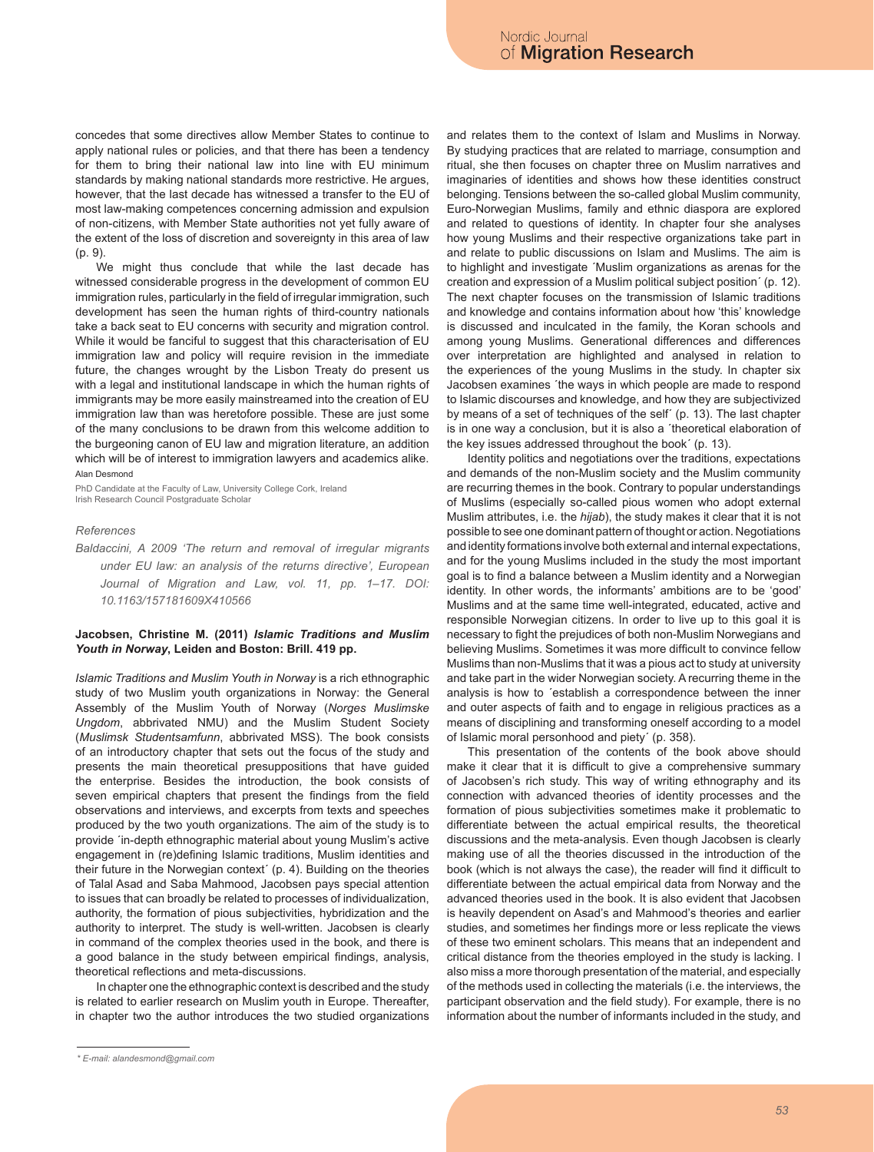concedes that some directives allow Member States to continue to apply national rules or policies, and that there has been a tendency for them to bring their national law into line with EU minimum standards by making national standards more restrictive. He argues, however, that the last decade has witnessed a transfer to the EU of most law-making competences concerning admission and expulsion of non-citizens, with Member State authorities not yet fully aware of the extent of the loss of discretion and sovereignty in this area of law (p. 9).

We might thus conclude that while the last decade has witnessed considerable progress in the development of common EU immigration rules, particularly in the field of irregular immigration, such development has seen the human rights of third-country nationals take a back seat to EU concerns with security and migration control. While it would be fanciful to suggest that this characterisation of EU immigration law and policy will require revision in the immediate future, the changes wrought by the Lisbon Treaty do present us with a legal and institutional landscape in which the human rights of immigrants may be more easily mainstreamed into the creation of EU immigration law than was heretofore possible. These are just some of the many conclusions to be drawn from this welcome addition to the burgeoning canon of EU law and migration literature, an addition which will be of interest to immigration lawyers and academics alike. Alan Desmond

PhD Candidate at the Faculty of Law, University College Cork, Ireland Irish Research Council Postgraduate Scholar

#### *References*

*Baldaccini, A 2009 'The return and removal of irregular migrants under EU law: an analysis of the returns directive', European Journal of Migration and Law, vol. 11, pp. 1–17. DOI: 10.1163/157181609X410566*

# **Jacobsen, Christine M. (2011)** *Islamic Traditions and Muslim Youth in Norway***, Leiden and Boston: Brill. 419 pp.**

*Islamic Traditions and Muslim Youth in Norway* is a rich ethnographic study of two Muslim youth organizations in Norway: the General Assembly of the Muslim Youth of Norway (*Norges Muslimske Ungdom*, abbrivated NMU) and the Muslim Student Society (*Muslimsk Studentsamfunn*, abbrivated MSS). The book consists of an introductory chapter that sets out the focus of the study and presents the main theoretical presuppositions that have guided the enterprise. Besides the introduction, the book consists of seven empirical chapters that present the findings from the field observations and interviews, and excerpts from texts and speeches produced by the two youth organizations. The aim of the study is to provide ´in-depth ethnographic material about young Muslim's active engagement in (re)defining Islamic traditions, Muslim identities and their future in the Norwegian context´ (p. 4). Building on the theories of Talal Asad and Saba Mahmood, Jacobsen pays special attention to issues that can broadly be related to processes of individualization, authority, the formation of pious subjectivities, hybridization and the authority to interpret. The study is well-written. Jacobsen is clearly in command of the complex theories used in the book, and there is a good balance in the study between empirical findings, analysis, theoretical reflections and meta-discussions.

In chapter one the ethnographic context is described and the study is related to earlier research on Muslim youth in Europe. Thereafter, in chapter two the author introduces the two studied organizations and relates them to the context of Islam and Muslims in Norway. By studying practices that are related to marriage, consumption and ritual, she then focuses on chapter three on Muslim narratives and imaginaries of identities and shows how these identities construct belonging. Tensions between the so-called global Muslim community, Euro-Norwegian Muslims, family and ethnic diaspora are explored and related to questions of identity. In chapter four she analyses how young Muslims and their respective organizations take part in and relate to public discussions on Islam and Muslims. The aim is to highlight and investigate ´Muslim organizations as arenas for the creation and expression of a Muslim political subject position´ (p. 12). The next chapter focuses on the transmission of Islamic traditions and knowledge and contains information about how 'this' knowledge is discussed and inculcated in the family, the Koran schools and among young Muslims. Generational differences and differences over interpretation are highlighted and analysed in relation to the experiences of the young Muslims in the study. In chapter six Jacobsen examines ´the ways in which people are made to respond to Islamic discourses and knowledge, and how they are subjectivized by means of a set of techniques of the self´ (p. 13). The last chapter is in one way a conclusion, but it is also a ´theoretical elaboration of the key issues addressed throughout the book´ (p. 13).

Identity politics and negotiations over the traditions, expectations and demands of the non-Muslim society and the Muslim community are recurring themes in the book. Contrary to popular understandings of Muslims (especially so-called pious women who adopt external Muslim attributes, i.e. the *hijab*), the study makes it clear that it is not possible to see one dominant pattern of thought or action. Negotiations and identity formations involve both external and internal expectations, and for the young Muslims included in the study the most important goal is to find a balance between a Muslim identity and a Norwegian identity. In other words, the informants' ambitions are to be 'good' Muslims and at the same time well-integrated, educated, active and responsible Norwegian citizens. In order to live up to this goal it is necessary to fight the prejudices of both non-Muslim Norwegians and believing Muslims. Sometimes it was more difficult to convince fellow Muslims than non-Muslims that it was a pious act to study at university and take part in the wider Norwegian society. A recurring theme in the analysis is how to ´establish a correspondence between the inner and outer aspects of faith and to engage in religious practices as a means of disciplining and transforming oneself according to a model of Islamic moral personhood and piety´ (p. 358).

This presentation of the contents of the book above should make it clear that it is difficult to give a comprehensive summary of Jacobsen's rich study. This way of writing ethnography and its connection with advanced theories of identity processes and the formation of pious subjectivities sometimes make it problematic to differentiate between the actual empirical results, the theoretical discussions and the meta-analysis. Even though Jacobsen is clearly making use of all the theories discussed in the introduction of the book (which is not always the case), the reader will find it difficult to differentiate between the actual empirical data from Norway and the advanced theories used in the book. It is also evident that Jacobsen is heavily dependent on Asad's and Mahmood's theories and earlier studies, and sometimes her findings more or less replicate the views of these two eminent scholars. This means that an independent and critical distance from the theories employed in the study is lacking. I also miss a more thorough presentation of the material, and especially of the methods used in collecting the materials (i.e. the interviews, the participant observation and the field study). For example, there is no information about the number of informants included in the study, and

*<sup>\*</sup> E-mail: alandesmond@gmail.com*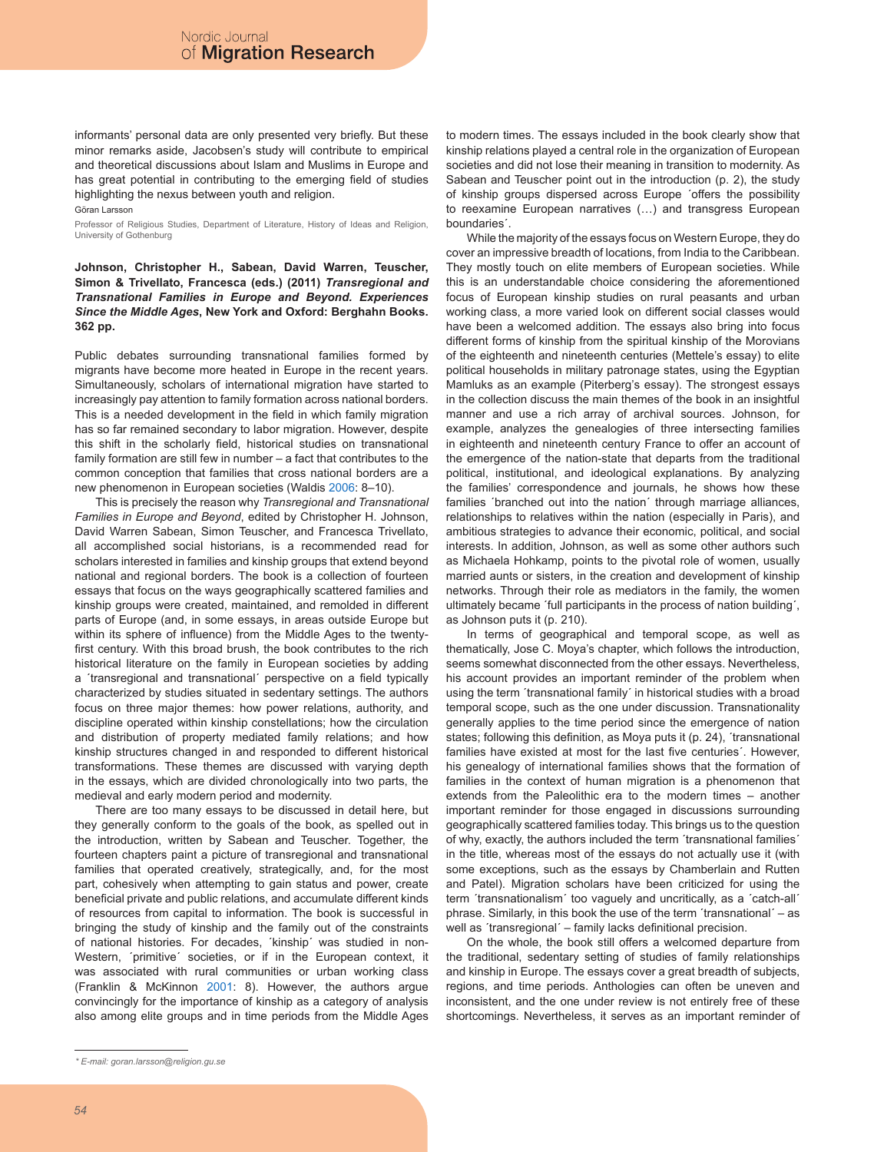informants' personal data are only presented very briefly. But these minor remarks aside, Jacobsen's study will contribute to empirical and theoretical discussions about Islam and Muslims in Europe and has great potential in contributing to the emerging field of studies highlighting the nexus between youth and religion.

Göran Larsson

Professor of Religious Studies, Department of Literature, History of Ideas and Religion, University of Gothenburg

**Johnson, Christopher H., Sabean, David Warren, Teuscher, Simon & Trivellato, Francesca (eds.) (2011)** *Transregional and Transnational Families in Europe and Beyond. Experiences Since the Middle Ages***, New York and Oxford: Berghahn Books. 362 pp.**

Public debates surrounding transnational families formed by migrants have become more heated in Europe in the recent years. Simultaneously, scholars of international migration have started to increasingly pay attention to family formation across national borders. This is a needed development in the field in which family migration has so far remained secondary to labor migration. However, despite this shift in the scholarly field, historical studies on transnational family formation are still few in number – a fact that contributes to the common conception that families that cross national borders are a new phenomenon in European societies (Waldis 2006: 8–10).

This is precisely the reason why *Transregional and Transnational Families in Europe and Beyond*, edited by Christopher H. Johnson, David Warren Sabean, Simon Teuscher, and Francesca Trivellato, all accomplished social historians, is a recommended read for scholars interested in families and kinship groups that extend beyond national and regional borders. The book is a collection of fourteen essays that focus on the ways geographically scattered families and kinship groups were created, maintained, and remolded in different parts of Europe (and, in some essays, in areas outside Europe but within its sphere of influence) from the Middle Ages to the twentyfirst century. With this broad brush, the book contributes to the rich historical literature on the family in European societies by adding a ´transregional and transnational´ perspective on a field typically characterized by studies situated in sedentary settings. The authors focus on three major themes: how power relations, authority, and discipline operated within kinship constellations; how the circulation and distribution of property mediated family relations; and how kinship structures changed in and responded to different historical transformations. These themes are discussed with varying depth in the essays, which are divided chronologically into two parts, the medieval and early modern period and modernity.

There are too many essays to be discussed in detail here, but they generally conform to the goals of the book, as spelled out in the introduction, written by Sabean and Teuscher. Together, the fourteen chapters paint a picture of transregional and transnational families that operated creatively, strategically, and, for the most part, cohesively when attempting to gain status and power, create beneficial private and public relations, and accumulate different kinds of resources from capital to information. The book is successful in bringing the study of kinship and the family out of the constraints of national histories. For decades, ´kinship´ was studied in non-Western, ´primitive´ societies, or if in the European context, it was associated with rural communities or urban working class (Franklin & McKinnon 2001: 8). However, the authors argue convincingly for the importance of kinship as a category of analysis also among elite groups and in time periods from the Middle Ages

to modern times. The essays included in the book clearly show that kinship relations played a central role in the organization of European societies and did not lose their meaning in transition to modernity. As Sabean and Teuscher point out in the introduction (p. 2), the study of kinship groups dispersed across Europe ´offers the possibility to reexamine European narratives (…) and transgress European boundaries´.

While the majority of the essays focus on Western Europe, they do cover an impressive breadth of locations, from India to the Caribbean. They mostly touch on elite members of European societies. While this is an understandable choice considering the aforementioned focus of European kinship studies on rural peasants and urban working class, a more varied look on different social classes would have been a welcomed addition. The essays also bring into focus different forms of kinship from the spiritual kinship of the Morovians of the eighteenth and nineteenth centuries (Mettele's essay) to elite political households in military patronage states, using the Egyptian Mamluks as an example (Piterberg's essay). The strongest essays in the collection discuss the main themes of the book in an insightful manner and use a rich array of archival sources. Johnson, for example, analyzes the genealogies of three intersecting families in eighteenth and nineteenth century France to offer an account of the emergence of the nation-state that departs from the traditional political, institutional, and ideological explanations. By analyzing the families' correspondence and journals, he shows how these families 'branched out into the nation' through marriage alliances, relationships to relatives within the nation (especially in Paris), and ambitious strategies to advance their economic, political, and social interests. In addition, Johnson, as well as some other authors such as Michaela Hohkamp, points to the pivotal role of women, usually married aunts or sisters, in the creation and development of kinship networks. Through their role as mediators in the family, the women ultimately became ´full participants in the process of nation building´, as Johnson puts it (p. 210).

In terms of geographical and temporal scope, as well as thematically, Jose C. Moya's chapter, which follows the introduction, seems somewhat disconnected from the other essays. Nevertheless, his account provides an important reminder of the problem when using the term ´transnational family´ in historical studies with a broad temporal scope, such as the one under discussion. Transnationality generally applies to the time period since the emergence of nation states; following this definition, as Moya puts it (p. 24), ´transnational families have existed at most for the last five centuries´. However, his genealogy of international families shows that the formation of families in the context of human migration is a phenomenon that extends from the Paleolithic era to the modern times – another important reminder for those engaged in discussions surrounding geographically scattered families today. This brings us to the question of why, exactly, the authors included the term ´transnational families´ in the title, whereas most of the essays do not actually use it (with some exceptions, such as the essays by Chamberlain and Rutten and Patel). Migration scholars have been criticized for using the term ´transnationalism´ too vaguely and uncritically, as a ´catch-all´ phrase. Similarly, in this book the use of the term ´transnational´ – as well as ´transregional´ – family lacks definitional precision.

On the whole, the book still offers a welcomed departure from the traditional, sedentary setting of studies of family relationships and kinship in Europe. The essays cover a great breadth of subjects, regions, and time periods. Anthologies can often be uneven and inconsistent, and the one under review is not entirely free of these shortcomings. Nevertheless, it serves as an important reminder of

*<sup>\*</sup> E-mail: goran.larsson@religion.gu.se*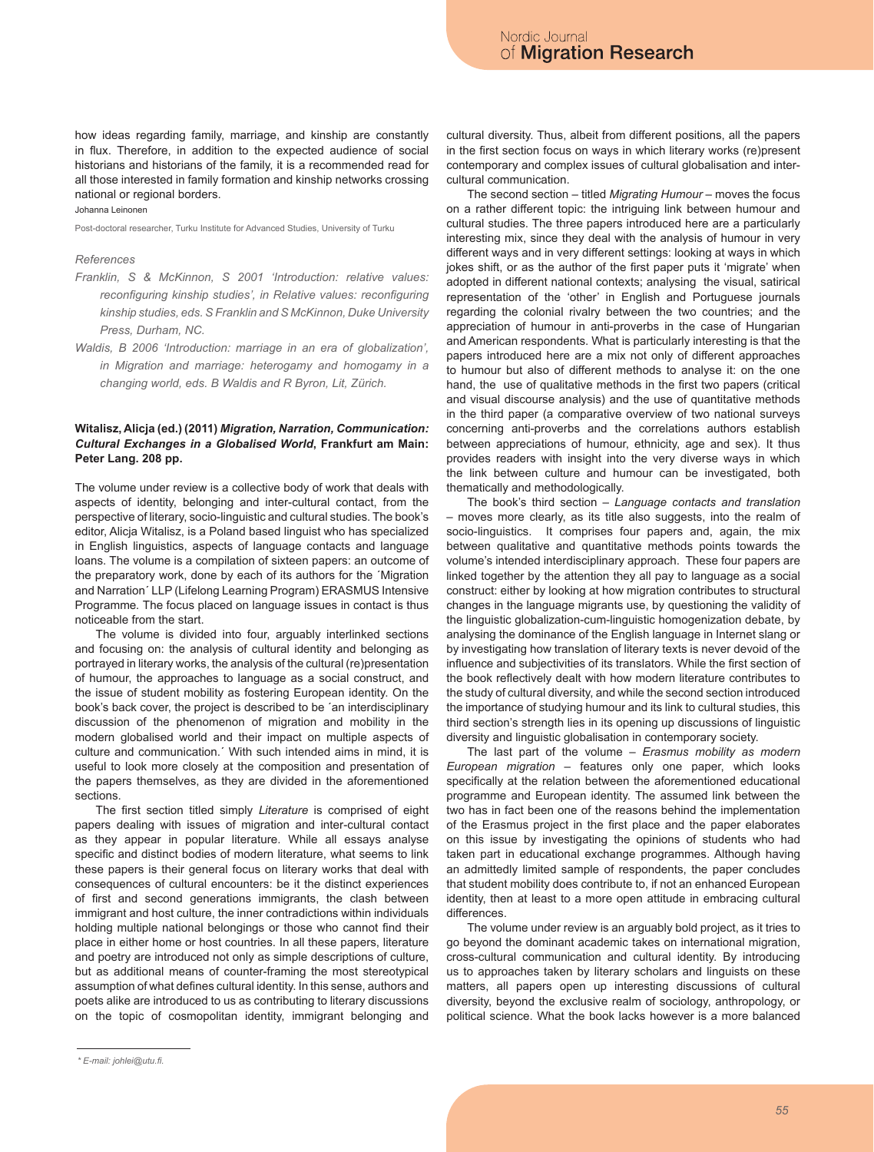how ideas regarding family, marriage, and kinship are constantly in flux. Therefore, in addition to the expected audience of social historians and historians of the family, it is a recommended read for all those interested in family formation and kinship networks crossing national or regional borders.

Johanna Leinonen

Post-doctoral researcher, Turku Institute for Advanced Studies, University of Turku

#### *References*

- *Franklin, S & McKinnon, S 2001 'Introduction: relative values: reconfiguring kinship studies', in Relative values: reconfiguring kinship studies, eds. S Franklin and S McKinnon, Duke University Press, Durham, NC.*
- *Waldis, B 2006 'Introduction: marriage in an era of globalization', in Migration and marriage: heterogamy and homogamy in a changing world, eds. B Waldis and R Byron, Lit, Zürich.*

## **Witalisz, Alicja (ed.) (2011)** *Migration, Narration, Communication: Cultural Exchanges in a Globalised World***, Frankfurt am Main: Peter Lang. 208 pp.**

The volume under review is a collective body of work that deals with aspects of identity, belonging and inter-cultural contact, from the perspective of literary, socio-linguistic and cultural studies. The book's editor, Alicja Witalisz, is a Poland based linguist who has specialized in English linguistics, aspects of language contacts and language loans. The volume is a compilation of sixteen papers: an outcome of the preparatory work, done by each of its authors for the ´Migration and Narration´ LLP (Lifelong Learning Program) ERASMUS Intensive Programme*.* The focus placed on language issues in contact is thus noticeable from the start.

The volume is divided into four, arguably interlinked sections and focusing on: the analysis of cultural identity and belonging as portrayed in literary works, the analysis of the cultural (re)presentation of humour, the approaches to language as a social construct, and the issue of student mobility as fostering European identity. On the book's back cover, the project is described to be ´an interdisciplinary discussion of the phenomenon of migration and mobility in the modern globalised world and their impact on multiple aspects of culture and communication.´ With such intended aims in mind, it is useful to look more closely at the composition and presentation of the papers themselves, as they are divided in the aforementioned sections.

The first section titled simply *Literature* is comprised of eight papers dealing with issues of migration and inter-cultural contact as they appear in popular literature. While all essays analyse specific and distinct bodies of modern literature, what seems to link these papers is their general focus on literary works that deal with consequences of cultural encounters: be it the distinct experiences of first and second generations immigrants, the clash between immigrant and host culture, the inner contradictions within individuals holding multiple national belongings or those who cannot find their place in either home or host countries. In all these papers, literature and poetry are introduced not only as simple descriptions of culture, but as additional means of counter-framing the most stereotypical assumption of what defines cultural identity. In this sense, authors and poets alike are introduced to us as contributing to literary discussions on the topic of cosmopolitan identity, immigrant belonging and

cultural diversity. Thus, albeit from different positions, all the papers in the first section focus on ways in which literary works (re)present contemporary and complex issues of cultural globalisation and intercultural communication.

The second section – titled *Migrating Humour* – moves the focus on a rather different topic: the intriguing link between humour and cultural studies. The three papers introduced here are a particularly interesting mix, since they deal with the analysis of humour in very different ways and in very different settings: looking at ways in which jokes shift, or as the author of the first paper puts it 'migrate' when adopted in different national contexts; analysing the visual, satirical representation of the 'other' in English and Portuguese journals regarding the colonial rivalry between the two countries; and the appreciation of humour in anti-proverbs in the case of Hungarian and American respondents. What is particularly interesting is that the papers introduced here are a mix not only of different approaches to humour but also of different methods to analyse it: on the one hand, the use of qualitative methods in the first two papers (critical and visual discourse analysis) and the use of quantitative methods in the third paper (a comparative overview of two national surveys concerning anti-proverbs and the correlations authors establish between appreciations of humour, ethnicity, age and sex). It thus provides readers with insight into the very diverse ways in which the link between culture and humour can be investigated, both thematically and methodologically.

The book's third section – *Language contacts and translation*  – moves more clearly, as its title also suggests, into the realm of socio-linguistics. It comprises four papers and, again, the mix between qualitative and quantitative methods points towards the volume's intended interdisciplinary approach. These four papers are linked together by the attention they all pay to language as a social construct: either by looking at how migration contributes to structural changes in the language migrants use, by questioning the validity of the linguistic globalization-cum-linguistic homogenization debate, by analysing the dominance of the English language in Internet slang or by investigating how translation of literary texts is never devoid of the influence and subjectivities of its translators. While the first section of the book reflectively dealt with how modern literature contributes to the study of cultural diversity, and while the second section introduced the importance of studying humour and its link to cultural studies, this third section's strength lies in its opening up discussions of linguistic diversity and linguistic globalisation in contemporary society.

The last part of the volume – *Erasmus mobility as modern European migration* – features only one paper, which looks specifically at the relation between the aforementioned educational programme and European identity. The assumed link between the two has in fact been one of the reasons behind the implementation of the Erasmus project in the first place and the paper elaborates on this issue by investigating the opinions of students who had taken part in educational exchange programmes. Although having an admittedly limited sample of respondents, the paper concludes that student mobility does contribute to, if not an enhanced European identity, then at least to a more open attitude in embracing cultural differences.

The volume under review is an arguably bold project, as it tries to go beyond the dominant academic takes on international migration, cross-cultural communication and cultural identity. By introducing us to approaches taken by literary scholars and linguists on these matters, all papers open up interesting discussions of cultural diversity, beyond the exclusive realm of sociology, anthropology, or political science. What the book lacks however is a more balanced

*<sup>\*</sup> E-mail: johlei@utu.fi.*